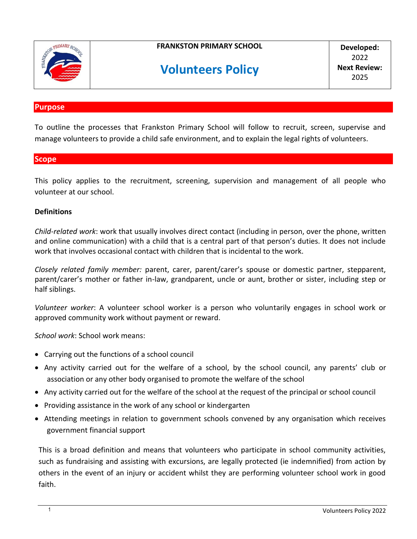

**FRANKSTON PRIMARY SCHOOL**

# **Volunteers Policy**

**Developed:** 2022 **Next Review:** 2025

#### **Purpose**

To outline the processes that Frankston Primary School will follow to recruit, screen, supervise and manage volunteers to provide a child safe environment, and to explain the legal rights of volunteers.

#### **Scope**

This policy applies to the recruitment, screening, supervision and management of all people who volunteer at our school.

#### **Definitions**

*Child-related work*: work that usually involves direct contact (including in person, over the phone, written and online communication) with a child that is a central part of that person's duties. It does not include work that involves occasional contact with children that is incidental to the work.

*Closely related family member:* parent, carer, parent/carer's spouse or domestic partner, stepparent, parent/carer's mother or father in-law, grandparent, uncle or aunt, brother or sister, including step or half siblings.

*Volunteer worker*: A volunteer school worker is a person who voluntarily engages in school work or approved community work without payment or reward.

*School work*: School work means:

- Carrying out the functions of a school council
- Any activity carried out for the welfare of a school, by the school council, any parents' club or association or any other body organised to promote the welfare of the school
- Any activity carried out for the welfare of the school at the request of the principal or school council
- Providing assistance in the work of any school or kindergarten
- Attending meetings in relation to government schools convened by any organisation which receives government financial support

This is a broad definition and means that volunteers who participate in school community activities, such as fundraising and assisting with excursions, are legally protected (ie indemnified) from action by others in the event of an injury or accident whilst they are performing volunteer school work in good faith.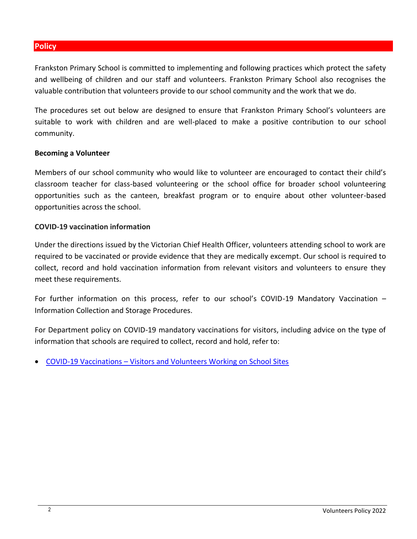## **Policy**

Frankston Primary School is committed to implementing and following practices which protect the safety and wellbeing of children and our staff and volunteers. Frankston Primary School also recognises the valuable contribution that volunteers provide to our school community and the work that we do.

The procedures set out below are designed to ensure that Frankston Primary School's volunteers are suitable to work with children and are well-placed to make a positive contribution to our school community.

#### **Becoming a Volunteer**

Members of our school community who would like to volunteer are encouraged to contact their child's classroom teacher for class-based volunteering or the school office for broader school volunteering opportunities such as the canteen, breakfast program or to enquire about other volunteer-based opportunities across the school.

#### **COVID-19 vaccination information**

Under the directions issued by the Victorian Chief Health Officer, volunteers attending school to work are required to be vaccinated or provide evidence that they are medically excempt. Our school is required to collect, record and hold vaccination information from relevant visitors and volunteers to ensure they meet these requirements.

For further information on this process, refer to our school's COVID-19 Mandatory Vaccination – Information Collection and Storage Procedures.

For Department policy on COVID-19 mandatory vaccinations for visitors, including advice on the type of information that schools are required to collect, record and hold, refer to:

COVID-19 Vaccinations – [Visitors and Volunteers Working on School Sites](https://www2.education.vic.gov.au/pal/covid-19-vaccinations-visitors-volunteers/policy)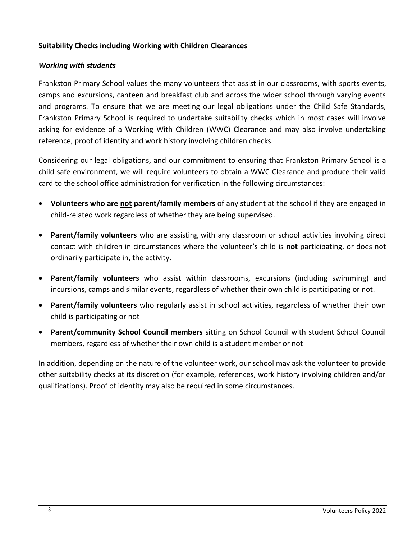#### **Suitability Checks including Working with Children Clearances**

#### *Working with students*

Frankston Primary School values the many volunteers that assist in our classrooms, with sports events, camps and excursions, canteen and breakfast club and across the wider school through varying events and programs. To ensure that we are meeting our legal obligations under the Child Safe Standards, Frankston Primary School is required to undertake suitability checks which in most cases will involve asking for evidence of a Working With Children (WWC) Clearance and may also involve undertaking reference, proof of identity and work history involving children checks.

Considering our legal obligations, and our commitment to ensuring that Frankston Primary School is a child safe environment, we will require volunteers to obtain a WWC Clearance and produce their valid card to the school office administration for verification in the following circumstances:

- **Volunteers who are not parent/family members** of any student at the school if they are engaged in child-related work regardless of whether they are being supervised.
- **Parent/family volunteers** who are assisting with any classroom or school activities involving direct contact with children in circumstances where the volunteer's child is **not** participating, or does not ordinarily participate in, the activity.
- **Parent/family volunteers** who assist within classrooms, excursions (including swimming) and incursions, camps and similar events, regardless of whether their own child is participating or not.
- **Parent/family volunteers** who regularly assist in school activities, regardless of whether their own child is participating or not
- **Parent/community School Council members** sitting on School Council with student School Council members, regardless of whether their own child is a student member or not

In addition, depending on the nature of the volunteer work, our school may ask the volunteer to provide other suitability checks at its discretion (for example, references, work history involving children and/or qualifications). Proof of identity may also be required in some circumstances.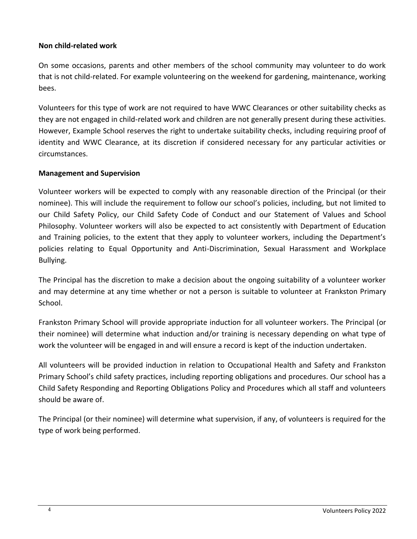#### **Non child-related work**

On some occasions, parents and other members of the school community may volunteer to do work that is not child-related. For example volunteering on the weekend for gardening, maintenance, working bees.

Volunteers for this type of work are not required to have WWC Clearances or other suitability checks as they are not engaged in child-related work and children are not generally present during these activities. However, Example School reserves the right to undertake suitability checks, including requiring proof of identity and WWC Clearance, at its discretion if considered necessary for any particular activities or circumstances.

#### **Management and Supervision**

Volunteer workers will be expected to comply with any reasonable direction of the Principal (or their nominee). This will include the requirement to follow our school's policies, including, but not limited to our Child Safety Policy, our Child Safety Code of Conduct and our Statement of Values and School Philosophy. Volunteer workers will also be expected to act consistently with Department of Education and Training policies, to the extent that they apply to volunteer workers, including the Department's policies relating to Equal Opportunity and Anti-Discrimination, Sexual Harassment and Workplace Bullying.

The Principal has the discretion to make a decision about the ongoing suitability of a volunteer worker and may determine at any time whether or not a person is suitable to volunteer at Frankston Primary School.

Frankston Primary School will provide appropriate induction for all volunteer workers. The Principal (or their nominee) will determine what induction and/or training is necessary depending on what type of work the volunteer will be engaged in and will ensure a record is kept of the induction undertaken.

All volunteers will be provided induction in relation to Occupational Health and Safety and Frankston Primary School's child safety practices, including reporting obligations and procedures. Our school has a Child Safety Responding and Reporting Obligations Policy and Procedures which all staff and volunteers should be aware of.

The Principal (or their nominee) will determine what supervision, if any, of volunteers is required for the type of work being performed.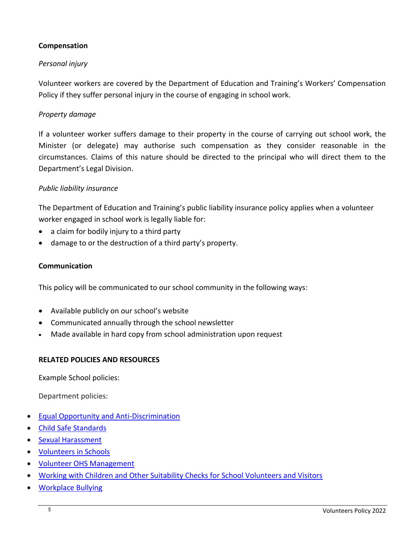## **Compensation**

# *Personal injury*

Volunteer workers are covered by the Department of Education and Training's Workers' Compensation Policy if they suffer personal injury in the course of engaging in school work.

# *Property damage*

If a volunteer worker suffers damage to their property in the course of carrying out school work, the Minister (or delegate) may authorise such compensation as they consider reasonable in the circumstances. Claims of this nature should be directed to the principal who will direct them to the Department's Legal Division.

# *Public liability insurance*

The Department of Education and Training's public liability insurance policy applies when a volunteer worker engaged in school work is legally liable for:

- a claim for bodily injury to a third party
- damage to or the destruction of a third party's property.

## **Communication**

This policy will be communicated to our school community in the following ways:

- Available publicly on our school's website
- Communicated annually through the school newsletter
- Made available in hard copy from school administration upon request

# **RELATED POLICIES AND RESOURCES**

Example School policies:

Department policies:

- [Equal Opportunity and Anti-Discrimination](https://www2.education.vic.gov.au/pal/equal-opportunity/policy-and-guidelines)
- [Child Safe Standards](https://www2.education.vic.gov.au/pal/child-safe-standards/policy)
- [Sexual Harassment](https://www2.education.vic.gov.au/pal/sexual-harassment/policy-and-guidelines)
- [Volunteers in Schools](https://www2.education.vic.gov.au/pal/volunteers/policy)
- [Volunteer OHS Management](https://www2.education.vic.gov.au/pal/volunteer-ohs-management/policy)
- [Working with Children and Other Suitability Checks for School Volunteers and Visitors](https://www2.education.vic.gov.au/pal/suitability-checks/policy)
- [Workplace Bullying](https://www2.education.vic.gov.au/pal/workplace-bullying/policy)